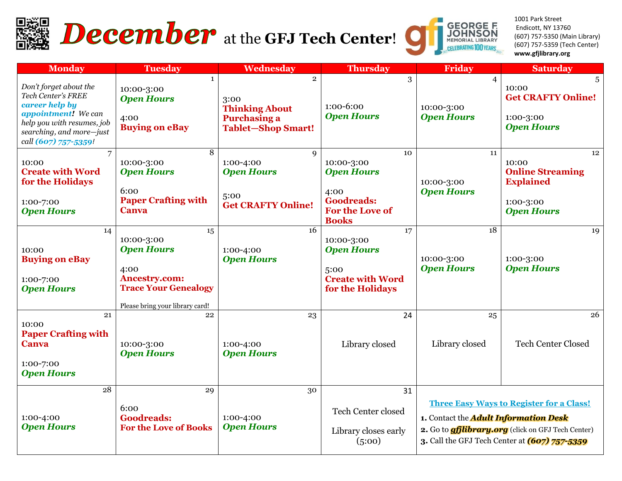

# **December** at the GFJ Tech Center!



1001 Park Street Endicott, NY 13760 (607) 757-5350 (Main Library) (607) 757-5359 (Tech Center) **www.gfjlibrary.org**

| <b>Monday</b>                                                                                                                                                           | <b>Tuesday</b>                                                                                                                          | Wednesday                                                                                           | <b>Thursday</b>                                                                                       | Friday                                            | <b>Saturday</b>                                                                                                                                               |
|-------------------------------------------------------------------------------------------------------------------------------------------------------------------------|-----------------------------------------------------------------------------------------------------------------------------------------|-----------------------------------------------------------------------------------------------------|-------------------------------------------------------------------------------------------------------|---------------------------------------------------|---------------------------------------------------------------------------------------------------------------------------------------------------------------|
| Don't forget about the<br>Tech Center's FREE<br>career help by<br>appointment! We can<br>help you with resumes, job<br>searching, and more-just<br>call (607) 757-5359! | $\mathbf{1}$<br>10:00-3:00<br><b>Open Hours</b><br>4:00<br><b>Buying on eBay</b>                                                        | $\overline{2}$<br>3:00<br><b>Thinking About</b><br><b>Purchasing a</b><br><b>Tablet-Shop Smart!</b> | 3<br>1:00-6:00<br><b>Open Hours</b>                                                                   | $\overline{4}$<br>10:00-3:00<br><b>Open Hours</b> | 5<br>10:00<br><b>Get CRAFTY Online!</b><br>1:00-3:00<br><b>Open Hours</b>                                                                                     |
| 10:00<br><b>Create with Word</b><br>for the Holidays<br>1:00-7:00<br><b>Open Hours</b>                                                                                  | 8<br>10:00-3:00<br><b>Open Hours</b><br>6:00<br><b>Paper Crafting with</b><br><b>Canva</b>                                              | $\mathbf Q$<br>1:00-4:00<br><b>Open Hours</b><br>5:00<br><b>Get CRAFTY Online!</b>                  | 10<br>10:00-3:00<br><b>Open Hours</b><br>4:00<br><b>Goodreads:</b><br>For the Love of<br><b>Books</b> | 11<br>10:00-3:00<br><b>Open Hours</b>             | 12 <sup>2</sup><br>10:00<br><b>Online Streaming</b><br><b>Explained</b><br>1:00-3:00<br><b>Open Hours</b>                                                     |
| 14<br>10:00<br><b>Buying on eBay</b><br>1:00-7:00<br><b>Open Hours</b>                                                                                                  | 15<br>10:00-3:00<br><b>Open Hours</b><br>4:00<br><b>Ancestry.com:</b><br><b>Trace Your Genealogy</b><br>Please bring your library card! | 16<br>1:00-4:00<br><b>Open Hours</b>                                                                | 17<br>10:00-3:00<br><b>Open Hours</b><br>5:00<br><b>Create with Word</b><br>for the Holidays          | 18<br>10:00-3:00<br><b>Open Hours</b>             | 19<br>1:00-3:00<br><b>Open Hours</b>                                                                                                                          |
| 21<br>10:00<br><b>Paper Crafting with</b><br>Canva<br>1:00-7:00<br><b>Open Hours</b>                                                                                    | 22<br>10:00-3:00<br><b>Open Hours</b>                                                                                                   | 23<br>1:00-4:00<br><b>Open Hours</b>                                                                | 24<br>Library closed                                                                                  | 25<br>Library closed                              | 26<br><b>Tech Center Closed</b>                                                                                                                               |
| 28<br>1:00-4:00<br><b>Open Hours</b>                                                                                                                                    | 29<br>6:00<br><b>Goodreads:</b><br><b>For the Love of Books</b>                                                                         | 30<br>1:00-4:00<br><b>Open Hours</b>                                                                | 31<br>Tech Center closed<br>Library closes early<br>(5:00)                                            | 1. Contact the <b>Adult Information Desk</b>      | <b>Three Easy Ways to Register for a Class!</b><br>2. Go to <b>gfilibrary.org</b> (click on GFJ Tech Center)<br>3. Call the GFJ Tech Center at (607) 757-5359 |